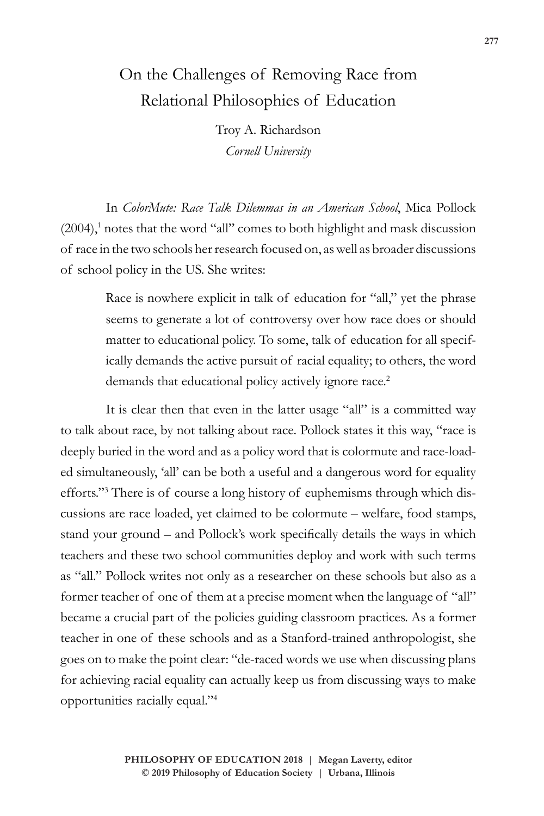## On the Challenges of Removing Race from Relational Philosophies of Education

Troy A. Richardson *Cornell University*

In *ColorMute: Race Talk Dilemmas in an American School*, Mica Pollock  $(2004)$ ,<sup>1</sup> notes that the word "all" comes to both highlight and mask discussion of race in the two schools her research focused on, as well as broader discussions of school policy in the US. She writes:

> Race is nowhere explicit in talk of education for "all," yet the phrase seems to generate a lot of controversy over how race does or should matter to educational policy. To some, talk of education for all specifically demands the active pursuit of racial equality; to others, the word demands that educational policy actively ignore race.<sup>2</sup>

It is clear then that even in the latter usage "all" is a committed way to talk about race, by not talking about race. Pollock states it this way, "race is deeply buried in the word and as a policy word that is colormute and race-loaded simultaneously, 'all' can be both a useful and a dangerous word for equality efforts."3 There is of course a long history of euphemisms through which discussions are race loaded, yet claimed to be colormute – welfare, food stamps, stand your ground – and Pollock's work specifically details the ways in which teachers and these two school communities deploy and work with such terms as "all." Pollock writes not only as a researcher on these schools but also as a former teacher of one of them at a precise moment when the language of "all" became a crucial part of the policies guiding classroom practices. As a former teacher in one of these schools and as a Stanford-trained anthropologist, she goes on to make the point clear: "de-raced words we use when discussing plans for achieving racial equality can actually keep us from discussing ways to make opportunities racially equal."4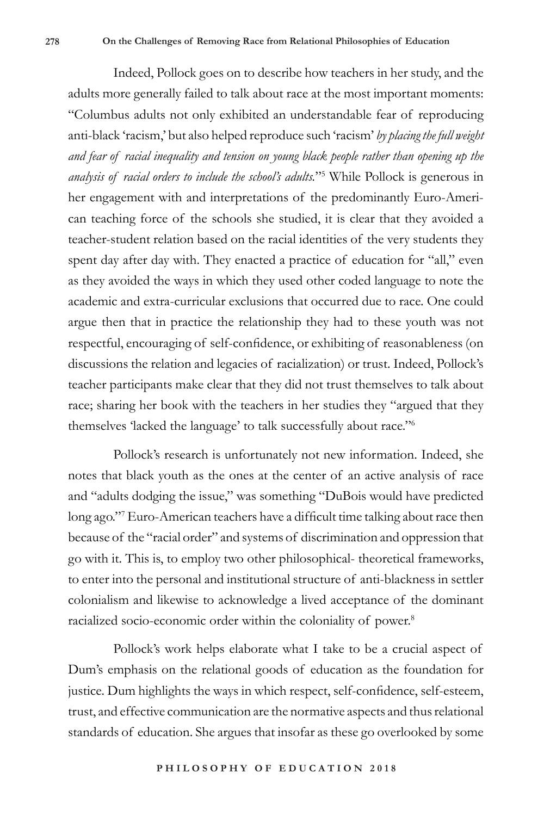Indeed, Pollock goes on to describe how teachers in her study, and the adults more generally failed to talk about race at the most important moments: "Columbus adults not only exhibited an understandable fear of reproducing anti-black 'racism,' but also helped reproduce such 'racism' *by placing the full weight and fear of racial inequality and tension on young black people rather than opening up the analysis of racial orders to include the school's adults.*"5 While Pollock is generous in her engagement with and interpretations of the predominantly Euro-American teaching force of the schools she studied, it is clear that they avoided a teacher-student relation based on the racial identities of the very students they spent day after day with. They enacted a practice of education for "all," even as they avoided the ways in which they used other coded language to note the academic and extra-curricular exclusions that occurred due to race. One could argue then that in practice the relationship they had to these youth was not respectful, encouraging of self-confidence, or exhibiting of reasonableness (on discussions the relation and legacies of racialization) or trust. Indeed, Pollock's teacher participants make clear that they did not trust themselves to talk about race; sharing her book with the teachers in her studies they "argued that they themselves 'lacked the language' to talk successfully about race."6

Pollock's research is unfortunately not new information. Indeed, she notes that black youth as the ones at the center of an active analysis of race and "adults dodging the issue," was something "DuBois would have predicted long ago."7 Euro-American teachers have a difficult time talking about race then because of the "racial order" and systems of discrimination and oppression that go with it. This is, to employ two other philosophical- theoretical frameworks, to enter into the personal and institutional structure of anti-blackness in settler colonialism and likewise to acknowledge a lived acceptance of the dominant racialized socio-economic order within the coloniality of power.<sup>8</sup>

Pollock's work helps elaborate what I take to be a crucial aspect of Dum's emphasis on the relational goods of education as the foundation for justice. Dum highlights the ways in which respect, self-confidence, self-esteem, trust, and effective communication are the normative aspects and thus relational standards of education. She argues that insofar as these go overlooked by some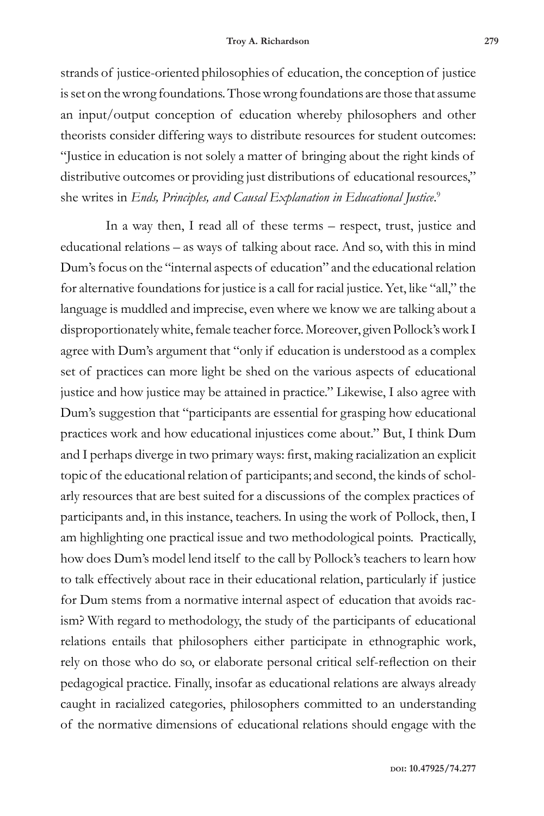strands of justice-oriented philosophies of education, the conception of justice is set on the wrong foundations. Those wrong foundations are those that assume an input/output conception of education whereby philosophers and other theorists consider differing ways to distribute resources for student outcomes: "Justice in education is not solely a matter of bringing about the right kinds of distributive outcomes or providing just distributions of educational resources," she writes in *Ends, Principles, and Causal Explanation in Educational Justice*. 9

In a way then, I read all of these terms – respect, trust, justice and educational relations – as ways of talking about race. And so, with this in mind Dum's focus on the "internal aspects of education" and the educational relation for alternative foundations for justice is a call for racial justice. Yet, like "all," the language is muddled and imprecise, even where we know we are talking about a disproportionately white, female teacher force. Moreover, given Pollock's work I agree with Dum's argument that "only if education is understood as a complex set of practices can more light be shed on the various aspects of educational justice and how justice may be attained in practice." Likewise, I also agree with Dum's suggestion that "participants are essential for grasping how educational practices work and how educational injustices come about." But, I think Dum and I perhaps diverge in two primary ways: first, making racialization an explicit topic of the educational relation of participants; and second, the kinds of scholarly resources that are best suited for a discussions of the complex practices of participants and, in this instance, teachers. In using the work of Pollock, then, I am highlighting one practical issue and two methodological points. Practically, how does Dum's model lend itself to the call by Pollock's teachers to learn how to talk effectively about race in their educational relation, particularly if justice for Dum stems from a normative internal aspect of education that avoids racism? With regard to methodology, the study of the participants of educational relations entails that philosophers either participate in ethnographic work, rely on those who do so, or elaborate personal critical self-reflection on their pedagogical practice. Finally, insofar as educational relations are always already caught in racialized categories, philosophers committed to an understanding of the normative dimensions of educational relations should engage with the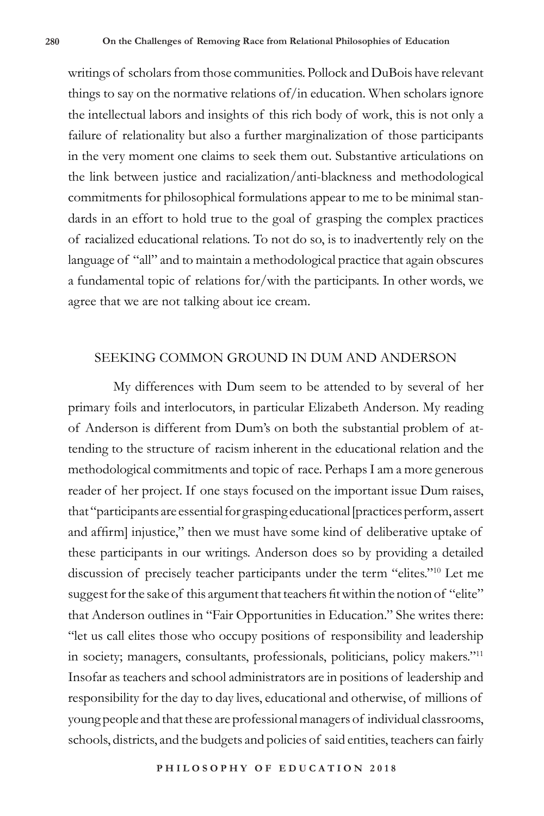writings of scholars from those communities. Pollock and DuBois have relevant things to say on the normative relations of/in education. When scholars ignore the intellectual labors and insights of this rich body of work, this is not only a failure of relationality but also a further marginalization of those participants in the very moment one claims to seek them out. Substantive articulations on the link between justice and racialization/anti-blackness and methodological commitments for philosophical formulations appear to me to be minimal standards in an effort to hold true to the goal of grasping the complex practices of racialized educational relations. To not do so, is to inadvertently rely on the language of "all" and to maintain a methodological practice that again obscures a fundamental topic of relations for/with the participants. In other words, we agree that we are not talking about ice cream.

## SEEKING COMMON GROUND IN DUM AND ANDERSON

My differences with Dum seem to be attended to by several of her primary foils and interlocutors, in particular Elizabeth Anderson. My reading of Anderson is different from Dum's on both the substantial problem of attending to the structure of racism inherent in the educational relation and the methodological commitments and topic of race. Perhaps I am a more generous reader of her project. If one stays focused on the important issue Dum raises, that "participants are essential for grasping educational [practices perform, assert and affirm] injustice," then we must have some kind of deliberative uptake of these participants in our writings. Anderson does so by providing a detailed discussion of precisely teacher participants under the term "elites."10 Let me suggest for the sake of this argument that teachers fit within the notion of "elite" that Anderson outlines in "Fair Opportunities in Education." She writes there: "let us call elites those who occupy positions of responsibility and leadership in society; managers, consultants, professionals, politicians, policy makers."11 Insofar as teachers and school administrators are in positions of leadership and responsibility for the day to day lives, educational and otherwise, of millions of young people and that these are professional managers of individual classrooms, schools, districts, and the budgets and policies of said entities, teachers can fairly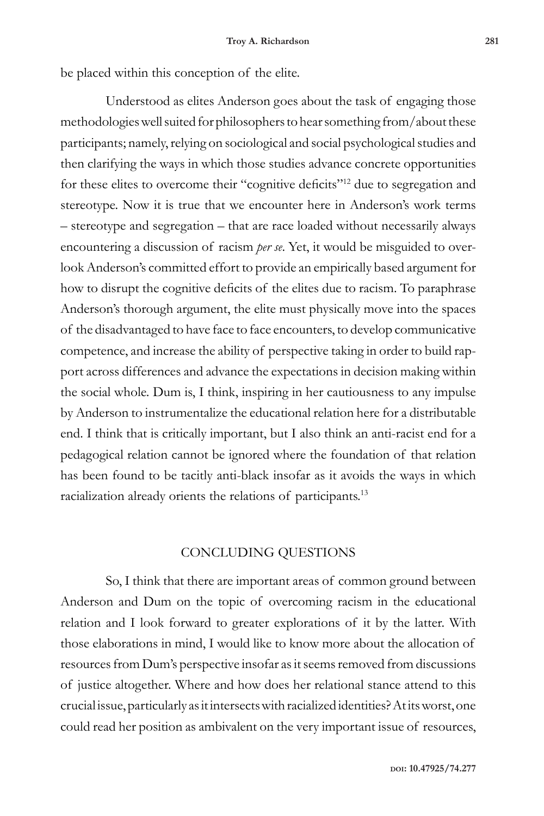be placed within this conception of the elite.

Understood as elites Anderson goes about the task of engaging those methodologies well suited for philosophers to hear something from/about these participants; namely, relying on sociological and social psychological studies and then clarifying the ways in which those studies advance concrete opportunities for these elites to overcome their "cognitive deficits"12 due to segregation and stereotype. Now it is true that we encounter here in Anderson's work terms – stereotype and segregation – that are race loaded without necessarily always encountering a discussion of racism *per se*. Yet, it would be misguided to overlook Anderson's committed effort to provide an empirically based argument for how to disrupt the cognitive deficits of the elites due to racism. To paraphrase Anderson's thorough argument, the elite must physically move into the spaces of the disadvantaged to have face to face encounters, to develop communicative competence, and increase the ability of perspective taking in order to build rapport across differences and advance the expectations in decision making within the social whole. Dum is, I think, inspiring in her cautiousness to any impulse by Anderson to instrumentalize the educational relation here for a distributable end. I think that is critically important, but I also think an anti-racist end for a pedagogical relation cannot be ignored where the foundation of that relation has been found to be tacitly anti-black insofar as it avoids the ways in which racialization already orients the relations of participants.13

## CONCLUDING QUESTIONS

So, I think that there are important areas of common ground between Anderson and Dum on the topic of overcoming racism in the educational relation and I look forward to greater explorations of it by the latter. With those elaborations in mind, I would like to know more about the allocation of resources from Dum's perspective insofar as it seems removed from discussions of justice altogether. Where and how does her relational stance attend to this crucial issue, particularly as it intersects with racialized identities? At its worst, one could read her position as ambivalent on the very important issue of resources,